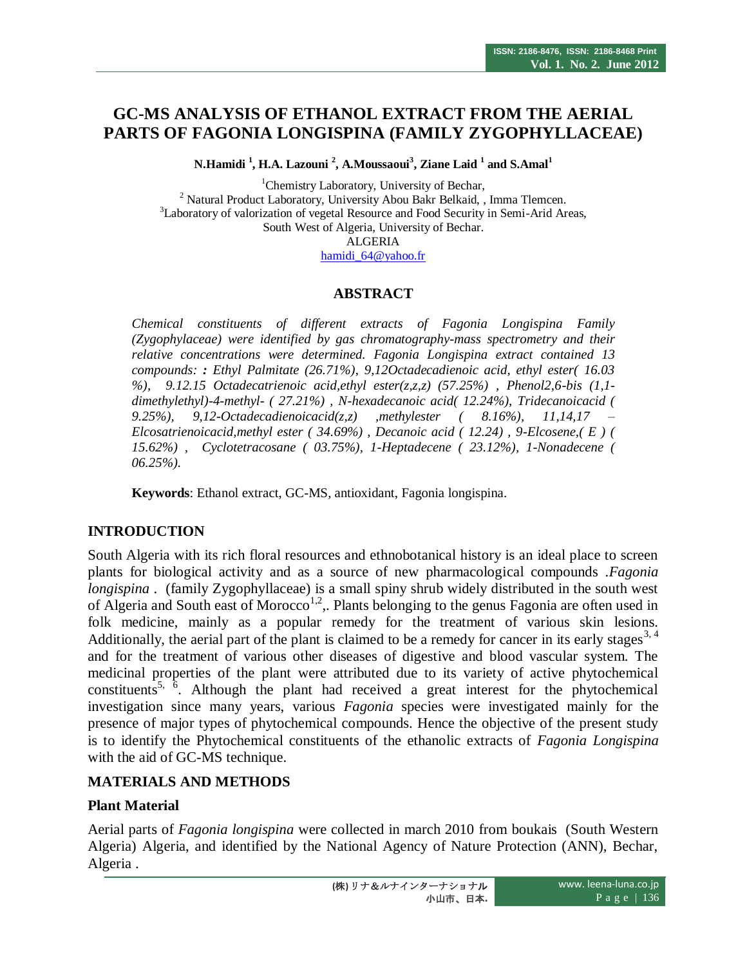# **GC-MS ANALYSIS OF ETHANOL EXTRACT FROM THE AERIAL PARTS OF FAGONIA LONGISPINA (FAMILY ZYGOPHYLLACEAE)**

**N.Hamidi <sup>1</sup> , H.A. Lazouni <sup>2</sup> , A.Moussaoui<sup>3</sup> , Ziane Laid <sup>1</sup> and S.Amal<sup>1</sup>**

<sup>1</sup>Chemistry Laboratory, University of Bechar, <sup>2</sup> Natural Product Laboratory, University Abou Bakr Belkaid, , Imma Tlemcen. <sup>3</sup>Laboratory of valorization of vegetal Resource and Food Security in Semi-Arid Areas, South West of Algeria, University of Bechar. ALGERIA

[hamidi\\_64@yahoo.fr](mailto:hamidi_64@yahoo.fr)

#### **ABSTRACT**

*Chemical constituents of different extracts of Fagonia Longispina Family (Zygophylaceae) were identified by gas chromatography-mass spectrometry and their relative concentrations were determined. Fagonia Longispina extract contained 13 compounds: : Ethyl Palmitate (26.71%), 9,12Octadecadienoic acid, ethyl ester( 16.03 %), 9.12.15 Octadecatrienoic acid,ethyl ester(z,z,z) (57.25%) , Phenol2,6-bis (1,1 dimethylethyl)-4-methyl- ( 27.21%) , N-hexadecanoic acid( 12.24%), Tridecanoicacid ( 9.25%), 9,12-Octadecadienoicacid(z,z) ,methylester ( 8.16%), 11,14,17 – Elcosatrienoicacid,methyl ester ( 34.69%) , Decanoic acid ( 12.24) , 9-Elcosene,( E ) ( 15.62%) , Cyclotetracosane ( 03.75%), 1-Heptadecene ( 23.12%), 1-Nonadecene ( 06.25%).*

**Keywords**: Ethanol extract, GC-MS, antioxidant, Fagonia longispina.

#### **INTRODUCTION**

South Algeria with its rich floral resources and ethnobotanical history is an ideal place to screen plants for biological activity and as a source of new pharmacological compounds .*Fagonia longispina* . (family Zygophyllaceae) is a small spiny shrub widely distributed in the south west of Algeria and South east of Morocco<sup>1,2</sup>,. Plants belonging to the genus Fagonia are often used in folk medicine, mainly as a popular remedy for the treatment of various skin lesions. Additionally, the aerial part of the plant is claimed to be a remedy for cancer in its early stages  $3, 4$ and for the treatment of various other diseases of digestive and blood vascular system. The medicinal properties of the plant were attributed due to its variety of active phytochemical constituents<sup>5, 6</sup>. Although the plant had received a great interest for the phytochemical investigation since many years, various *Fagonia* species were investigated mainly for the presence of major types of phytochemical compounds. Hence the objective of the present study is to identify the Phytochemical constituents of the ethanolic extracts of *Fagonia Longispina*  with the aid of GC-MS technique.

#### **MATERIALS AND METHODS**

#### **Plant Material**

Aerial parts of *Fagonia longispina* were collected in march 2010 from boukais (South Western Algeria) Algeria, and identified by the National Agency of Nature Protection (ANN), Bechar, Algeria .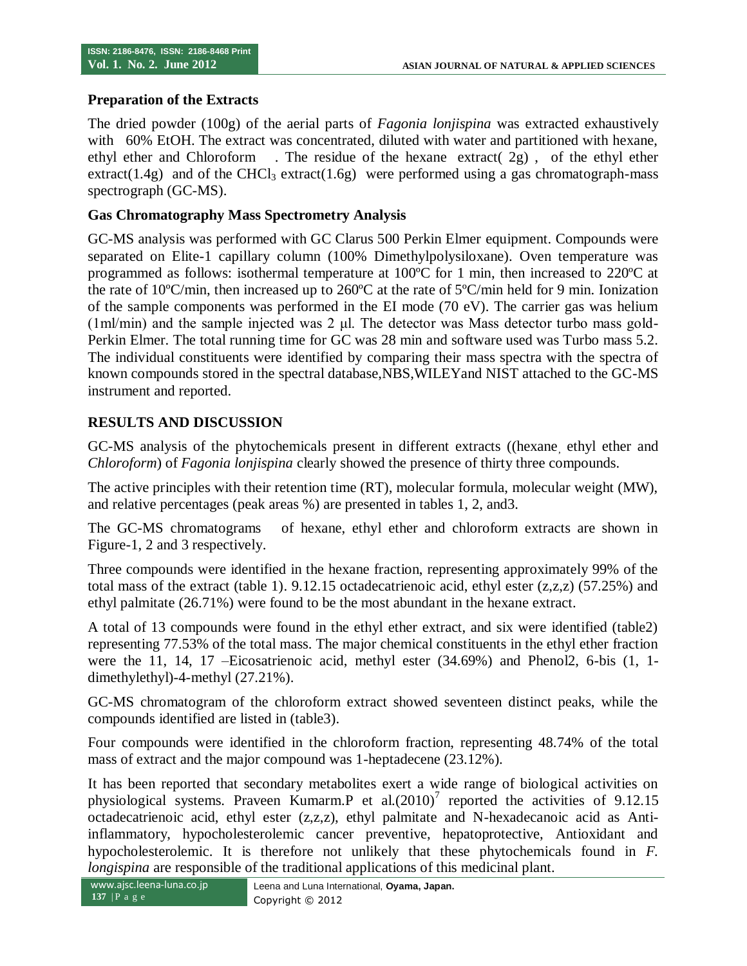#### **Preparation of the Extracts**

The dried powder (100g) of the aerial parts of *Fagonia lonjispina* was extracted exhaustively with 60% EtOH. The extract was concentrated, diluted with water and partitioned with hexane, ethyl ether and Chloroform . The residue of the hexane extract( 2g) , of the ethyl ether extract(1.4g) and of the CHCl<sub>3</sub> extract(1.6g) were performed using a gas chromatograph-mass spectrograph (GC-MS).

#### **Gas Chromatography Mass Spectrometry Analysis**

GC-MS analysis was performed with GC Clarus 500 Perkin Elmer equipment. Compounds were separated on Elite-1 capillary column (100% Dimethylpolysiloxane). Oven temperature was programmed as follows: isothermal temperature at 100ºC for 1 min, then increased to 220ºC at the rate of 10ºC/min, then increased up to 260ºC at the rate of 5ºC/min held for 9 min. Ionization of the sample components was performed in the EI mode (70 eV). The carrier gas was helium (1ml/min) and the sample injected was 2 μl. The detector was Mass detector turbo mass gold-Perkin Elmer. The total running time for GC was 28 min and software used was Turbo mass 5.2. The individual constituents were identified by comparing their mass spectra with the spectra of known compounds stored in the spectral database,NBS,WILEYand NIST attached to the GC-MS instrument and reported.

#### **RESULTS AND DISCUSSION**

GC-MS analysis of the phytochemicals present in different extracts ((hexane, ethyl ether and *Chloroform*) of *Fagonia lonjispina* clearly showed the presence of thirty three compounds.

The active principles with their retention time (RT), molecular formula, molecular weight (MW), and relative percentages (peak areas %) are presented in tables 1, 2, and3.

The GC-MS chromatograms of hexane, ethyl ether and chloroform extracts are shown in Figure-1, 2 and 3 respectively.

Three compounds were identified in the hexane fraction, representing approximately 99% of the total mass of the extract (table 1).  $9.12.15$  octadecatrienoic acid, ethyl ester (z,z,z) (57.25%) and ethyl palmitate (26.71%) were found to be the most abundant in the hexane extract.

A total of 13 compounds were found in the ethyl ether extract, and six were identified (table2) representing 77.53% of the total mass. The major chemical constituents in the ethyl ether fraction were the 11, 14, 17 –Eicosatrienoic acid, methyl ester (34.69%) and Phenol2, 6-bis (1, 1 dimethylethyl)-4-methyl (27.21%).

GC-MS chromatogram of the chloroform extract showed seventeen distinct peaks, while the compounds identified are listed in (table3).

Four compounds were identified in the chloroform fraction, representing 48.74% of the total mass of extract and the major compound was 1-heptadecene (23.12%).

It has been reported that secondary metabolites exert a wide range of biological activities on physiological systems. Praveen Kumarm.P et al. $(2010)^7$  reported the activities of 9.12.15 octadecatrienoic acid, ethyl ester (z,z,z), ethyl palmitate and N-hexadecanoic acid as Antiinflammatory, hypocholesterolemic cancer preventive, hepatoprotective, Antioxidant and hypocholesterolemic. It is therefore not unlikely that these phytochemicals found in *F. longispina* are responsible of the traditional applications of this medicinal plant.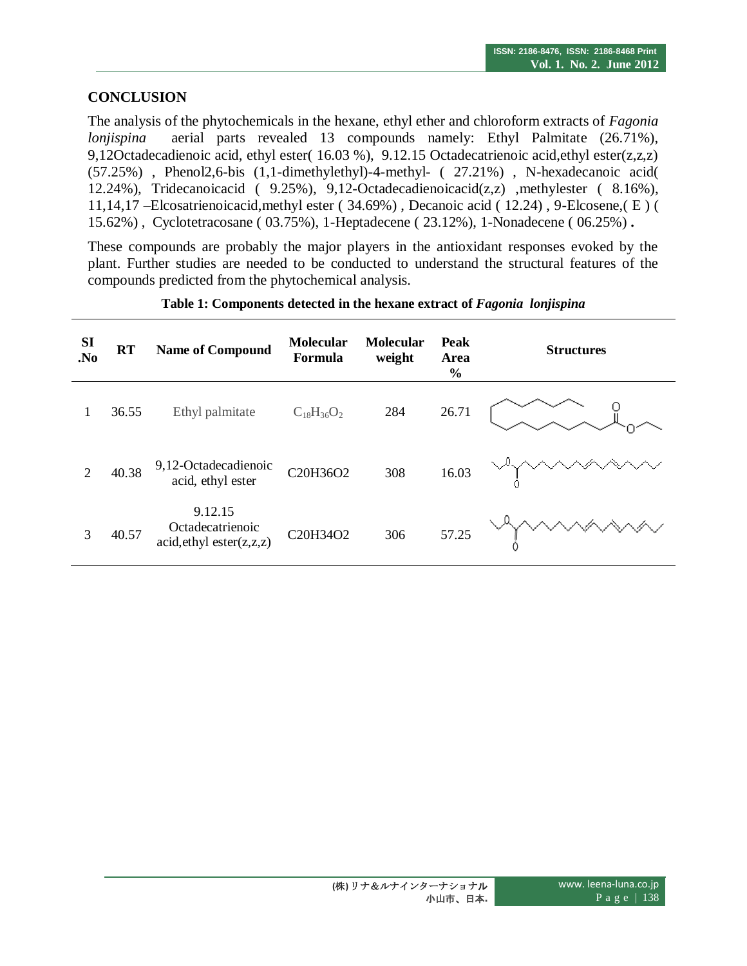### **CONCLUSION**

The analysis of the phytochemicals in the hexane, ethyl ether and chloroform extracts of *Fagonia lonjispina* aerial parts revealed 13 compounds namely: Ethyl Palmitate (26.71%), 9,12Octadecadienoic acid, ethyl ester( 16.03 %), 9.12.15 Octadecatrienoic acid,ethyl ester(z,z,z) (57.25%) , Phenol2,6-bis (1,1-dimethylethyl)-4-methyl- ( 27.21%) , N-hexadecanoic acid( 12.24%), Tridecanoicacid ( 9.25%), 9,12-Octadecadienoicacid(z,z) ,methylester ( 8.16%), 11,14,17 –Elcosatrienoicacid,methyl ester ( 34.69%) , Decanoic acid ( 12.24) , 9-Elcosene,( E ) ( 15.62%) , Cyclotetracosane ( 03.75%), 1-Heptadecene ( 23.12%), 1-Nonadecene ( 06.25%) **.**

These compounds are probably the major players in the antioxidant responses evoked by the plant. Further studies are needed to be conducted to understand the structural features of the compounds predicted from the phytochemical analysis.

| <b>SI</b><br>N <sub>0</sub> | <b>RT</b> | <b>Name of Compound</b>                                    | <b>Molecular</b><br>Formula | <b>Molecular</b><br>weight | Peak<br>Area<br>$\frac{0}{0}$ | <b>Structures</b> |
|-----------------------------|-----------|------------------------------------------------------------|-----------------------------|----------------------------|-------------------------------|-------------------|
| 1                           | 36.55     | Ethyl palmitate                                            | $C_{18}H_{36}O_2$           | 284                        | 26.71                         |                   |
| $\overline{2}$              | 40.38     | 9,12-Octadecadienoic<br>acid, ethyl ester                  | C20H36O2                    | 308                        | 16.03                         |                   |
| 3                           | 40.57     | 9.12.15<br>Octadecatrienoic<br>acid, ethyl, ester(z, z, z) | C20H34O2                    | 306                        | 57.25                         |                   |

#### **Table 1: Components detected in the hexane extract of** *Fagonia lonjispina*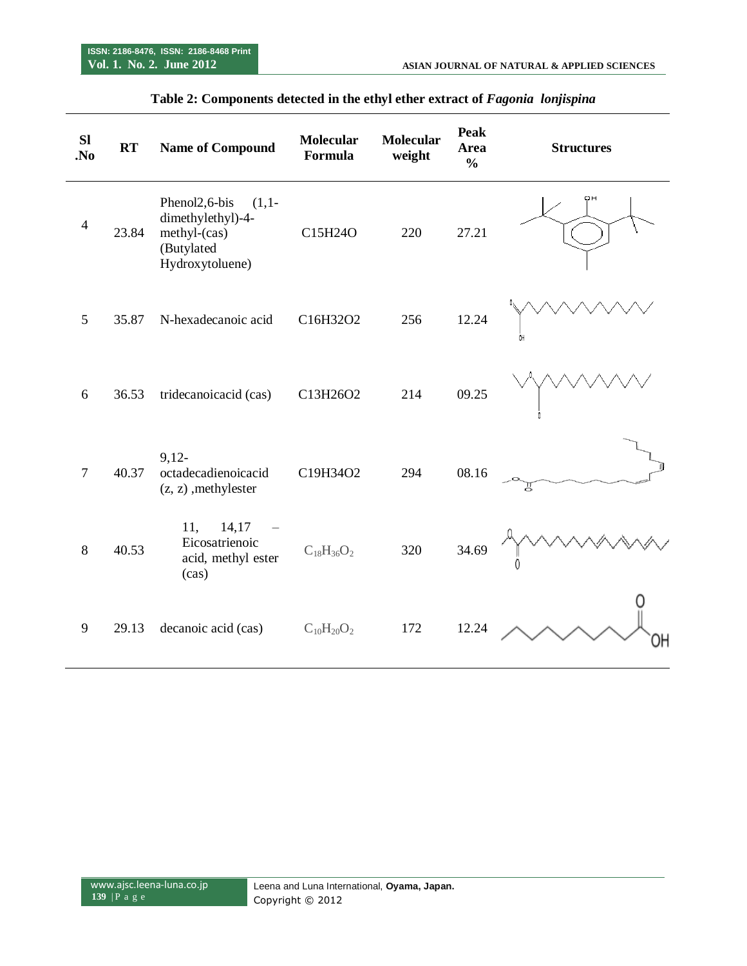| <b>SI</b><br>N <sub>0</sub> | <b>RT</b> | <b>Name of Compound</b>                                                                                     | <b>Molecular</b><br>Formula | <b>Molecular</b><br>weight | <b>Peak</b><br>Area<br>$\frac{0}{0}$ | <b>Structures</b> |
|-----------------------------|-----------|-------------------------------------------------------------------------------------------------------------|-----------------------------|----------------------------|--------------------------------------|-------------------|
| $\overline{4}$              | 23.84     | Phenol <sub>2</sub> ,6-bis<br>$(1,1-$<br>dimethylethyl)-4-<br>methyl-(cas)<br>(Butylated<br>Hydroxytoluene) | C15H24O                     | 220                        | 27.21                                | oн                |
| 5                           | 35.87     | N-hexadecanoic acid                                                                                         | C16H32O2                    | 256                        | 12.24                                | OH                |
| 6                           | 36.53     | tridecanoicacid (cas)                                                                                       | C13H26O2                    | 214                        | 09.25                                |                   |
| $\tau$                      | 40.37     | $9,12-$<br>octadecadienoicacid<br>$(z, z)$ , methylester                                                    | C19H34O2                    | 294                        | 08.16                                | Д                 |
| 8                           | 40.53     | 11,<br>14,17<br>Eicosatrienoic<br>acid, methyl ester<br>(cas)                                               | $C_{18}H_{36}O_2$           | 320                        | 34.69                                |                   |
| 9                           | 29.13     | decanoic acid (cas)                                                                                         | $C_{10}H_{20}O_2$           | 172                        | 12.24                                |                   |

## **Table 2: Components detected in the ethyl ether extract of** *Fagonia lonjispina*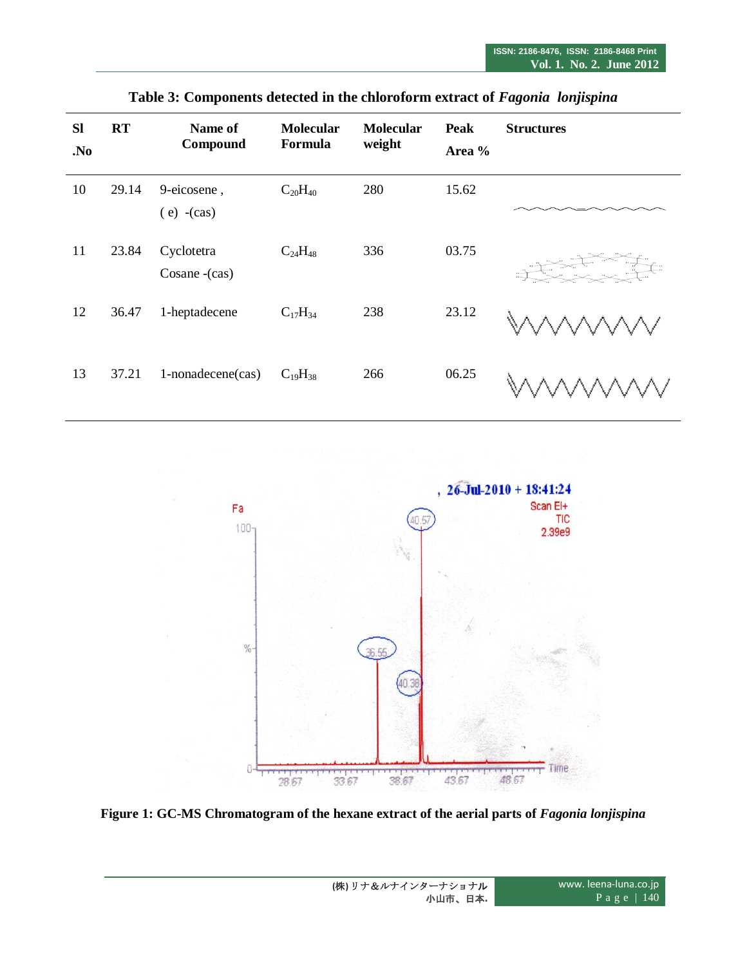| <b>SI</b><br>No. | RT    | Name of<br>Compound          | <b>Molecular</b><br>Formula | <b>Molecular</b><br>weight | Peak<br>Area % | <b>Structures</b> |
|------------------|-------|------------------------------|-----------------------------|----------------------------|----------------|-------------------|
| 10               | 29.14 | 9-eicosene,<br>$(e)$ -(cas)  | $C_{20}H_{40}$              | 280                        | 15.62          |                   |
| 11               | 23.84 | Cyclotetra<br>Cosane - (cas) | $C_{24}H_{48}$              | 336                        | 03.75          |                   |
| 12               | 36.47 | 1-heptadecene                | $C_{17}H_{34}$              | 238                        | 23.12          |                   |
| 13               | 37.21 | 1-nonadecene(cas)            | $C_{19}H_{38}$              | 266                        | 06.25          |                   |

**Table 3: Components detected in the chloroform extract of** *Fagonia lonjispina*



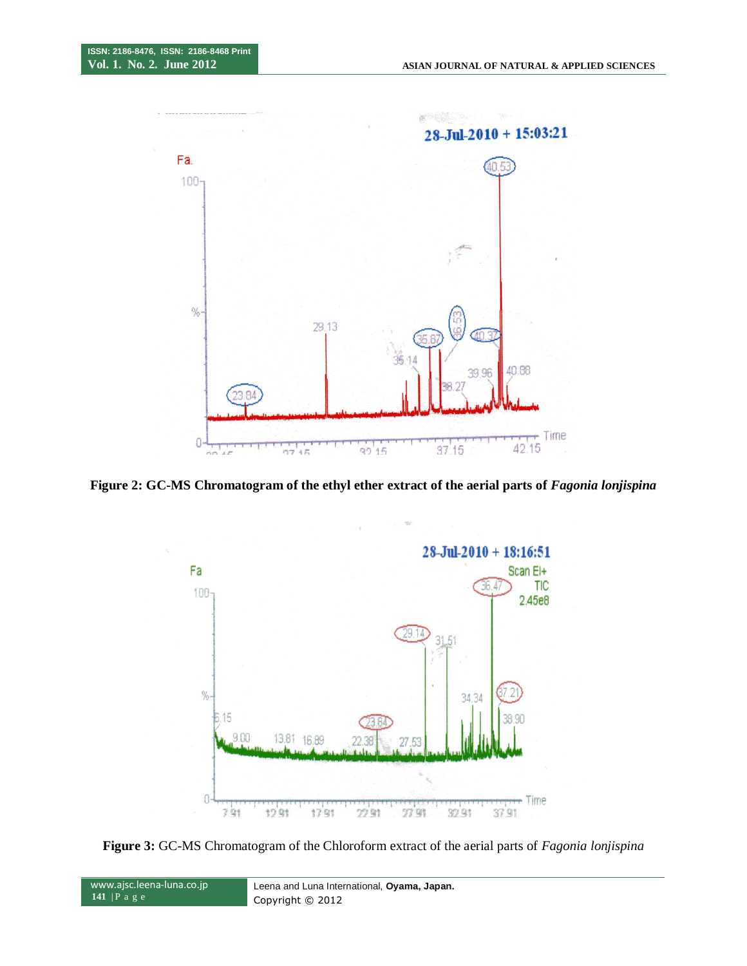

**Figure 2: GC-MS Chromatogram of the ethyl ether extract of the aerial parts of** *Fagonia lonjispina*





www.ajsc.leena-luna.co.jp **141** | P a g e